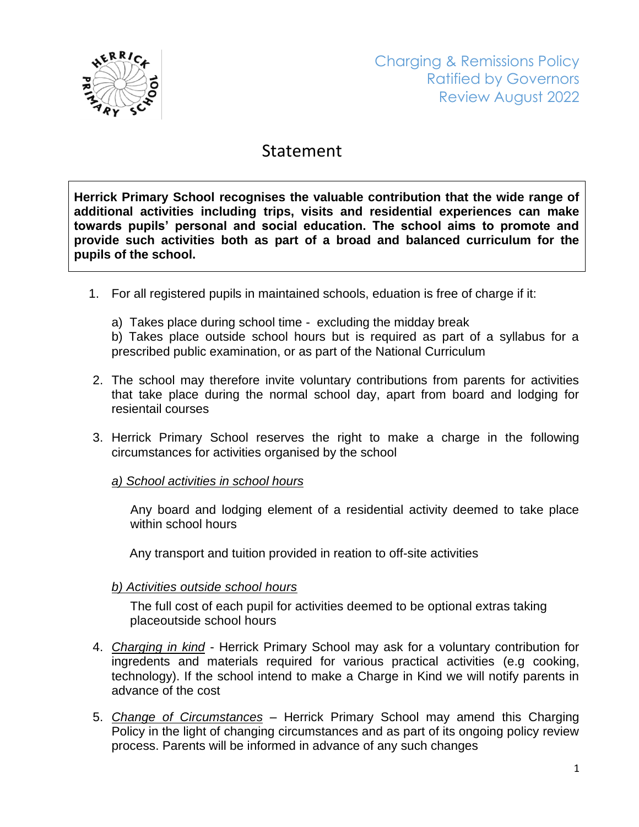

## Statement

**Herrick Primary School recognises the valuable contribution that the wide range of additional activities including trips, visits and residential experiences can make towards pupils' personal and social education. The school aims to promote and provide such activities both as part of a broad and balanced curriculum for the pupils of the school.**

- 1. For all registered pupils in maintained schools, eduation is free of charge if it:
	- a) Takes place during school time excluding the midday break

b) Takes place outside school hours but is required as part of a syllabus for a prescribed public examination, or as part of the National Curriculum

- 2. The school may therefore invite voluntary contributions from parents for activities that take place during the normal school day, apart from board and lodging for resientail courses
- 3. Herrick Primary School reserves the right to make a charge in the following circumstances for activities organised by the school

## *a) School activities in school hours*

Any board and lodging element of a residential activity deemed to take place within school hours

Any transport and tuition provided in reation to off-site activities

## *b) Activities outside school hours*

 The full cost of each pupil for activities deemed to be optional extras taking placeoutside school hours

- 4. *Charging in kind* Herrick Primary School may ask for a voluntary contribution for ingredents and materials required for various practical activities (e.g cooking, technology). If the school intend to make a Charge in Kind we will notify parents in advance of the cost
- 5. *Change of Circumstances* Herrick Primary School may amend this Charging Policy in the light of changing circumstances and as part of its ongoing policy review process. Parents will be informed in advance of any such changes